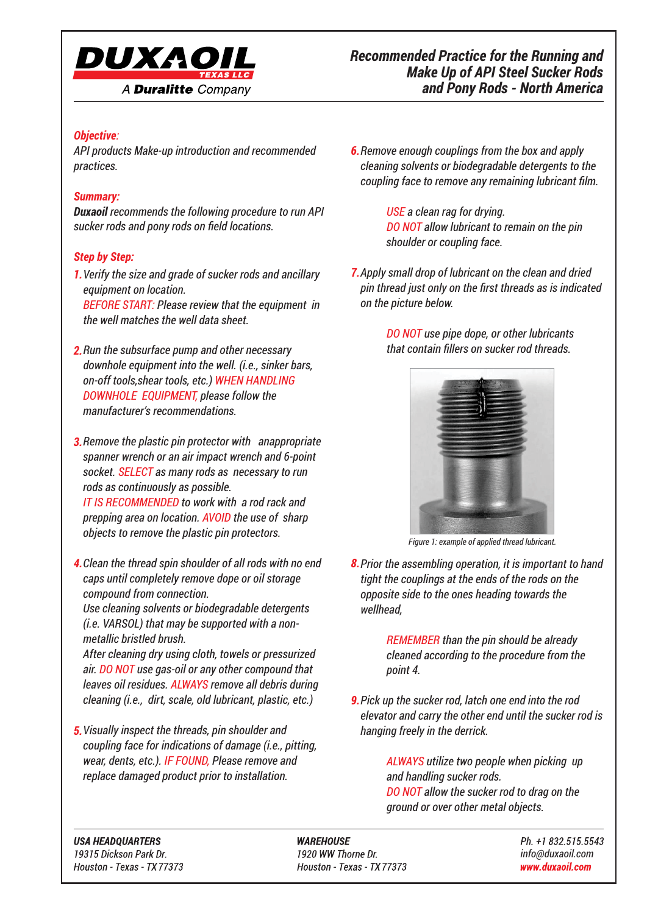

## *Objective:*

*API products Make-up introduction and recommended practices.*

### *Summary:*

*Duxaoil recommends the following procedure to run API sucker rods and pony rods on field locations.*

## *Step by Step:*

*Verify the size and grade of sucker rods and ancillary 1. equipment on location.*

*BEFORE START: Please review that the equipment in the well matches the well data sheet.*

- *Run the subsurface pump and other necessary 2. downhole equipment into the well. (i.e., sinker bars, on-off tools,shear tools, etc.) WHEN HANDLING DOWNHOLE EQUIPMENT, please follow the manufacturer's recommendations.*
- *Remove the plastic pin protector with anappropriate 3. spanner wrench or an air impact wrench and 6-point socket. SELECT as many rods as necessary to run rods as continuously as possible. IT IS RECOMMENDED to work with a rod rack and prepping area on location. AVOID the use of sharp objects to remove the plastic pin protectors.*
- *Clean the thread spin shoulder of all rods with no end 4. caps until completely remove dope or oil storage compound from connection.*

*Use cleaning solvents or biodegradable detergents (i.e. VARSOL) that may be supported with a nonmetallic bristled brush.*

*After cleaning dry using cloth, towels or pressurized air. DO NOT use gas-oil or any other compound that leaves oil residues. ALWAYS remove all debris during cleaning (i.e., dirt, scale, old lubricant, plastic, etc.)*

*Visually inspect the threads, pin shoulder and 5. coupling face for indications of damage (i.e., pitting, wear, dents, etc.). IF FOUND, Please remove and replace damaged product prior to installation.*

*Remove enough couplings from the box and apply 6. cleaning solvents or biodegradable detergents to the coupling face to remove any remaining lubricant film.*

> *USE a clean rag for drying. DO NOT allow lubricant to remain on the pin shoulder or coupling face.*

*Apply small drop of lubricant on the clean and dried 7. pin thread just only on the first threads as is indicated on the picture below.*

> *DO NOT use pipe dope, or other lubricants that contain fillers on sucker rod threads.*



*Figure 1: example of applied thread lubricant.*

*Prior the assembling operation, it is important to hand 8. tight the couplings at the ends of the rods on the opposite side to the ones heading towards the wellhead,*

> *REMEMBER than the pin should be already cleaned according to the procedure from the point 4.*

*Pick up the sucker rod, latch one end into the rod 9.elevator and carry the other end until the sucker rod is hanging freely in the derrick.*

> *ALWAYS utilize two people when picking up and handling sucker rods. DO NOT allow the sucker rod to drag on the ground or over other metal objects.*

**USA HEADOUARTERS** 19315 Dickson Park Dr. Houston - Texas - TX 77373

**WAREHOUSE** 1920 WW Thorne Dr. Houston - Texas - TX 77373 Ph. +1 832.515.5543 *info@duxaoil.com* www.duxaoil.com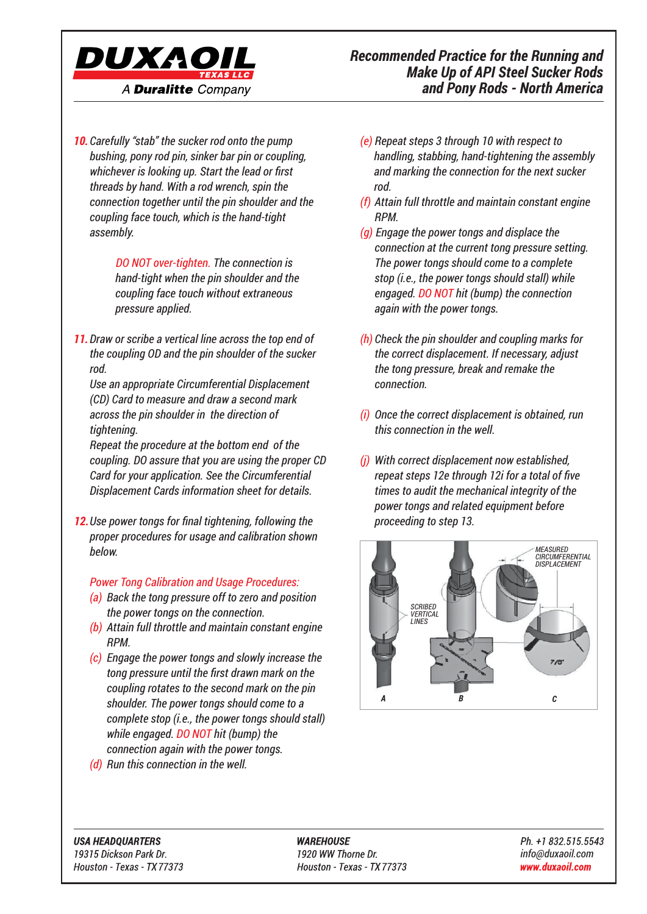

*Carefully "stab" the sucker rod onto the pump 10. bushing, pony rod pin, sinker bar pin or coupling, whichever is looking up. Start the lead or first threads by hand. With a rod wrench, spin the connection together until the pin shoulder and the coupling face touch, which is the hand-tight assembly.*

> *DO NOT over-tighten. The connection is hand-tight when the pin shoulder and the coupling face touch without extraneous pressure applied.*

*Draw or scribe a vertical line across the top end of 11. the coupling OD and the pin shoulder of the sucker rod.*

*Use an appropriate Circumferential Displacement (CD) Card to measure and draw a second mark across the pin shoulder in the direction of tightening.* 

*Repeat the procedure at the bottom end of the coupling. DO assure that you are using the proper CD Card for your application. See the Circumferential Displacement Cards information sheet for details.*

*Use power tongs for final tightening, following the 12. proper procedures for usage and calibration shown below.*

#### *Power Tong Calibration and Usage Procedures:*

- *(a) Back the tong pressure off to zero and position the power tongs on the connection.*
- *(b) Attain full throttle and maintain constant engine RPM.*
- *(c) Engage the power tongs and slowly increase the tong pressure until the first drawn mark on the coupling rotates to the second mark on the pin shoulder. The power tongs should come to a complete stop (i.e., the power tongs should stall) while engaged. DO NOT hit (bump) the connection again with the power tongs.*
- *(d) Run this connection in the well.*
- *(e) Repeat steps 3 through 10 with respect to handling, stabbing, hand-tightening the assembly and marking the connection for the next sucker rod.*
- *(f) Attain full throttle and maintain constant engine RPM.*
- *(g) Engage the power tongs and displace the connection at the current tong pressure setting. The power tongs should come to a complete stop (i.e., the power tongs should stall) while engaged. DO NOT hit (bump) the connection again with the power tongs.*
- *(h) Check the pin shoulder and coupling marks for the correct displacement. If necessary, adjust the tong pressure, break and remake the connection.*
- *(i) Once the correct displacement is obtained, run this connection in the well.*
- *(j) With correct displacement now established, repeat steps 12e through 12i for a total of five times to audit the mechanical integrity of the power tongs and related equipment before proceeding to step 13.*



**USA HEADOUARTERS** 19315 Dickson Park Dr. Houston - Texas - TX 77373 **WAREHOUSE** 1920 WW Thorne Dr. Houston - Texas - TX 77373 Ph. +1 832.515.5543 *info@duxaoil.com* www.duxaoil.com